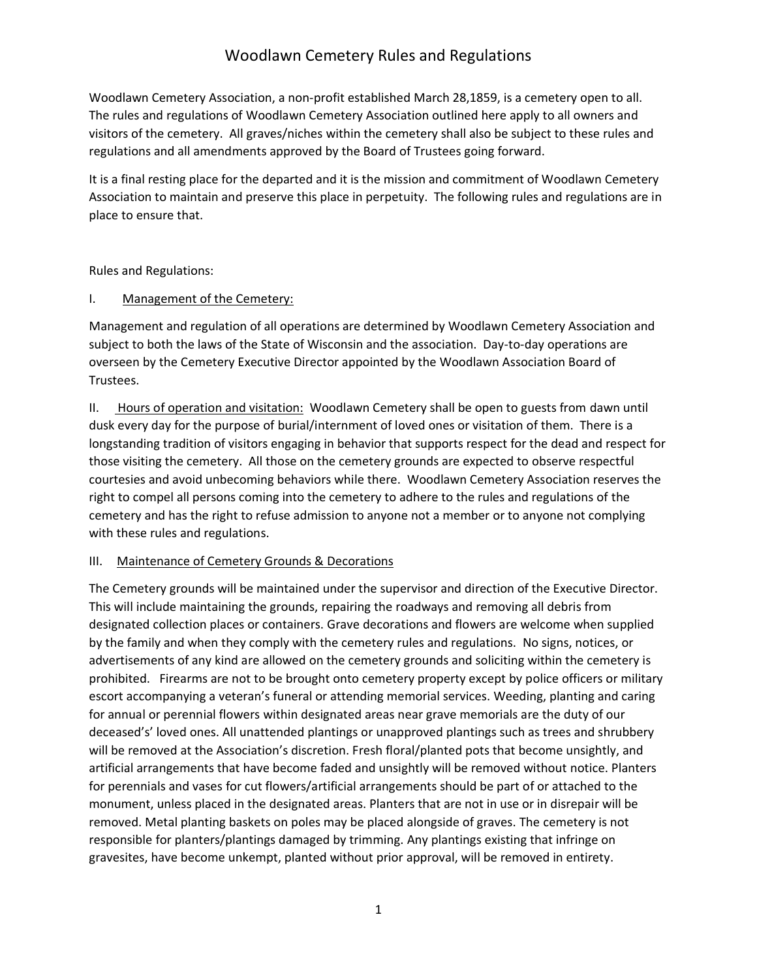Woodlawn Cemetery Association, a non-profit established March 28,1859, is a cemetery open to all. The rules and regulations of Woodlawn Cemetery Association outlined here apply to all owners and visitors of the cemetery. All graves/niches within the cemetery shall also be subject to these rules and regulations and all amendments approved by the Board of Trustees going forward.

It is a final resting place for the departed and it is the mission and commitment of Woodlawn Cemetery Association to maintain and preserve this place in perpetuity. The following rules and regulations are in place to ensure that.

Rules and Regulations:

#### I. Management of the Cemetery:

Management and regulation of all operations are determined by Woodlawn Cemetery Association and subject to both the laws of the State of Wisconsin and the association. Day-to-day operations are overseen by the Cemetery Executive Director appointed by the Woodlawn Association Board of Trustees.

II. Hours of operation and visitation: Woodlawn Cemetery shall be open to guests from dawn until dusk every day for the purpose of burial/internment of loved ones or visitation of them. There is a longstanding tradition of visitors engaging in behavior that supports respect for the dead and respect for those visiting the cemetery. All those on the cemetery grounds are expected to observe respectful courtesies and avoid unbecoming behaviors while there. Woodlawn Cemetery Association reserves the right to compel all persons coming into the cemetery to adhere to the rules and regulations of the cemetery and has the right to refuse admission to anyone not a member or to anyone not complying with these rules and regulations.

#### III. Maintenance of Cemetery Grounds & Decorations

The Cemetery grounds will be maintained under the supervisor and direction of the Executive Director. This will include maintaining the grounds, repairing the roadways and removing all debris from designated collection places or containers. Grave decorations and flowers are welcome when supplied by the family and when they comply with the cemetery rules and regulations. No signs, notices, or advertisements of any kind are allowed on the cemetery grounds and soliciting within the cemetery is prohibited. Firearms are not to be brought onto cemetery property except by police officers or military escort accompanying a veteran's funeral or attending memorial services. Weeding, planting and caring for annual or perennial flowers within designated areas near grave memorials are the duty of our deceased's' loved ones. All unattended plantings or unapproved plantings such as trees and shrubbery will be removed at the Association's discretion. Fresh floral/planted pots that become unsightly, and artificial arrangements that have become faded and unsightly will be removed without notice. Planters for perennials and vases for cut flowers/artificial arrangements should be part of or attached to the monument, unless placed in the designated areas. Planters that are not in use or in disrepair will be removed. Metal planting baskets on poles may be placed alongside of graves. The cemetery is not responsible for planters/plantings damaged by trimming. Any plantings existing that infringe on gravesites, have become unkempt, planted without prior approval, will be removed in entirety.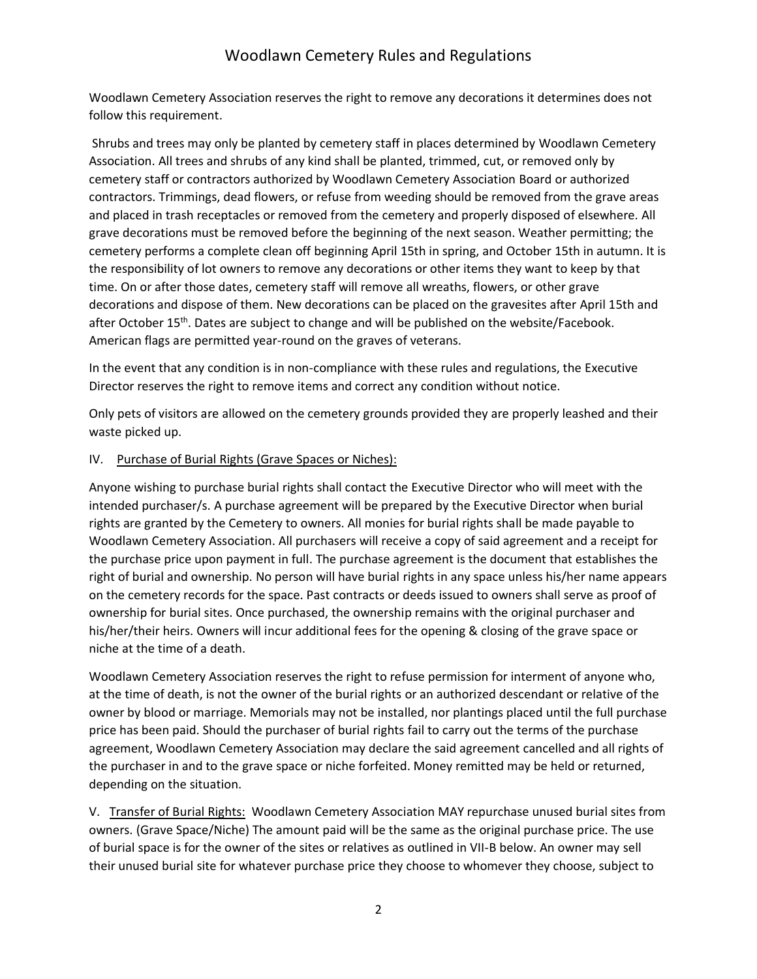Woodlawn Cemetery Association reserves the right to remove any decorations it determines does not follow this requirement.

Shrubs and trees may only be planted by cemetery staff in places determined by Woodlawn Cemetery Association. All trees and shrubs of any kind shall be planted, trimmed, cut, or removed only by cemetery staff or contractors authorized by Woodlawn Cemetery Association Board or authorized contractors. Trimmings, dead flowers, or refuse from weeding should be removed from the grave areas and placed in trash receptacles or removed from the cemetery and properly disposed of elsewhere. All grave decorations must be removed before the beginning of the next season. Weather permitting; the cemetery performs a complete clean off beginning April 15th in spring, and October 15th in autumn. It is the responsibility of lot owners to remove any decorations or other items they want to keep by that time. On or after those dates, cemetery staff will remove all wreaths, flowers, or other grave decorations and dispose of them. New decorations can be placed on the gravesites after April 15th and after October 15<sup>th</sup>. Dates are subject to change and will be published on the website/Facebook. American flags are permitted year-round on the graves of veterans.

In the event that any condition is in non-compliance with these rules and regulations, the Executive Director reserves the right to remove items and correct any condition without notice.

Only pets of visitors are allowed on the cemetery grounds provided they are properly leashed and their waste picked up.

#### IV. Purchase of Burial Rights (Grave Spaces or Niches):

Anyone wishing to purchase burial rights shall contact the Executive Director who will meet with the intended purchaser/s. A purchase agreement will be prepared by the Executive Director when burial rights are granted by the Cemetery to owners. All monies for burial rights shall be made payable to Woodlawn Cemetery Association. All purchasers will receive a copy of said agreement and a receipt for the purchase price upon payment in full. The purchase agreement is the document that establishes the right of burial and ownership. No person will have burial rights in any space unless his/her name appears on the cemetery records for the space. Past contracts or deeds issued to owners shall serve as proof of ownership for burial sites. Once purchased, the ownership remains with the original purchaser and his/her/their heirs. Owners will incur additional fees for the opening & closing of the grave space or niche at the time of a death.

Woodlawn Cemetery Association reserves the right to refuse permission for interment of anyone who, at the time of death, is not the owner of the burial rights or an authorized descendant or relative of the owner by blood or marriage. Memorials may not be installed, nor plantings placed until the full purchase price has been paid. Should the purchaser of burial rights fail to carry out the terms of the purchase agreement, Woodlawn Cemetery Association may declare the said agreement cancelled and all rights of the purchaser in and to the grave space or niche forfeited. Money remitted may be held or returned, depending on the situation.

V. Transfer of Burial Rights: Woodlawn Cemetery Association MAY repurchase unused burial sites from owners. (Grave Space/Niche) The amount paid will be the same as the original purchase price. The use of burial space is for the owner of the sites or relatives as outlined in VII-B below. An owner may sell their unused burial site for whatever purchase price they choose to whomever they choose, subject to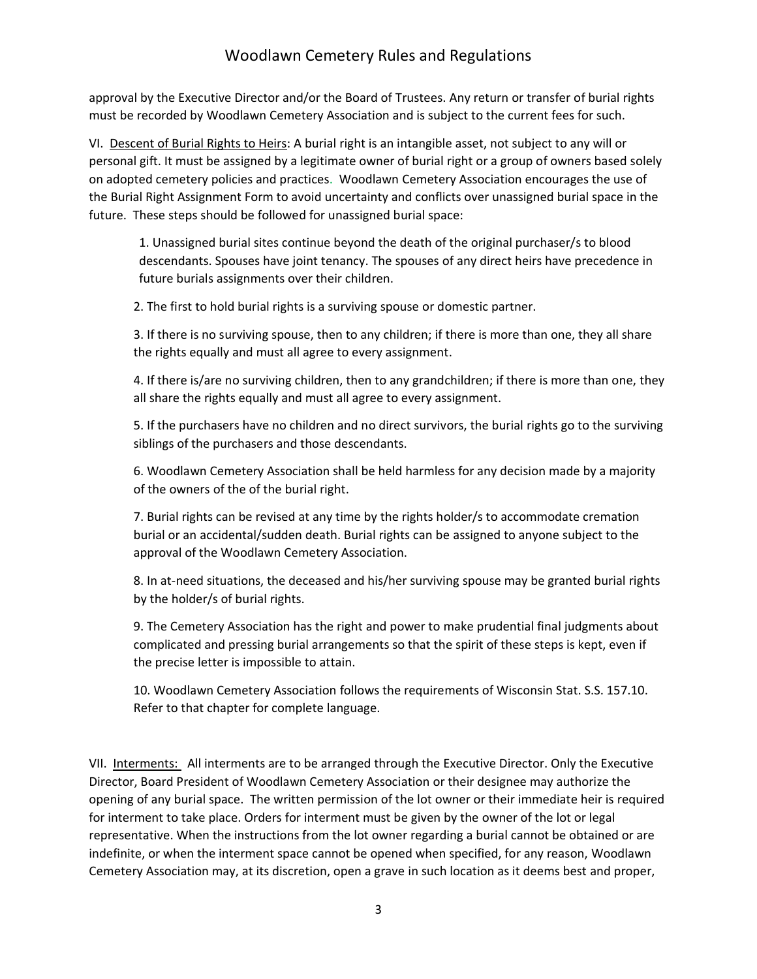approval by the Executive Director and/or the Board of Trustees. Any return or transfer of burial rights must be recorded by Woodlawn Cemetery Association and is subject to the current fees for such.

VI. Descent of Burial Rights to Heirs: A burial right is an intangible asset, not subject to any will or personal gift. It must be assigned by a legitimate owner of burial right or a group of owners based solely on adopted cemetery policies and practices. Woodlawn Cemetery Association encourages the use of the Burial Right Assignment Form to avoid uncertainty and conflicts over unassigned burial space in the future. These steps should be followed for unassigned burial space:

1. Unassigned burial sites continue beyond the death of the original purchaser/s to blood descendants. Spouses have joint tenancy. The spouses of any direct heirs have precedence in future burials assignments over their children.

2. The first to hold burial rights is a surviving spouse or domestic partner.

3. If there is no surviving spouse, then to any children; if there is more than one, they all share the rights equally and must all agree to every assignment.

4. If there is/are no surviving children, then to any grandchildren; if there is more than one, they all share the rights equally and must all agree to every assignment.

5. If the purchasers have no children and no direct survivors, the burial rights go to the surviving siblings of the purchasers and those descendants.

6. Woodlawn Cemetery Association shall be held harmless for any decision made by a majority of the owners of the of the burial right.

7. Burial rights can be revised at any time by the rights holder/s to accommodate cremation burial or an accidental/sudden death. Burial rights can be assigned to anyone subject to the approval of the Woodlawn Cemetery Association.

8. In at-need situations, the deceased and his/her surviving spouse may be granted burial rights by the holder/s of burial rights.

9. The Cemetery Association has the right and power to make prudential final judgments about complicated and pressing burial arrangements so that the spirit of these steps is kept, even if the precise letter is impossible to attain.

10. Woodlawn Cemetery Association follows the requirements of Wisconsin Stat. S.S. 157.10. Refer to that chapter for complete language.

VII. Interments: All interments are to be arranged through the Executive Director. Only the Executive Director, Board President of Woodlawn Cemetery Association or their designee may authorize the opening of any burial space. The written permission of the lot owner or their immediate heir is required for interment to take place. Orders for interment must be given by the owner of the lot or legal representative. When the instructions from the lot owner regarding a burial cannot be obtained or are indefinite, or when the interment space cannot be opened when specified, for any reason, Woodlawn Cemetery Association may, at its discretion, open a grave in such location as it deems best and proper,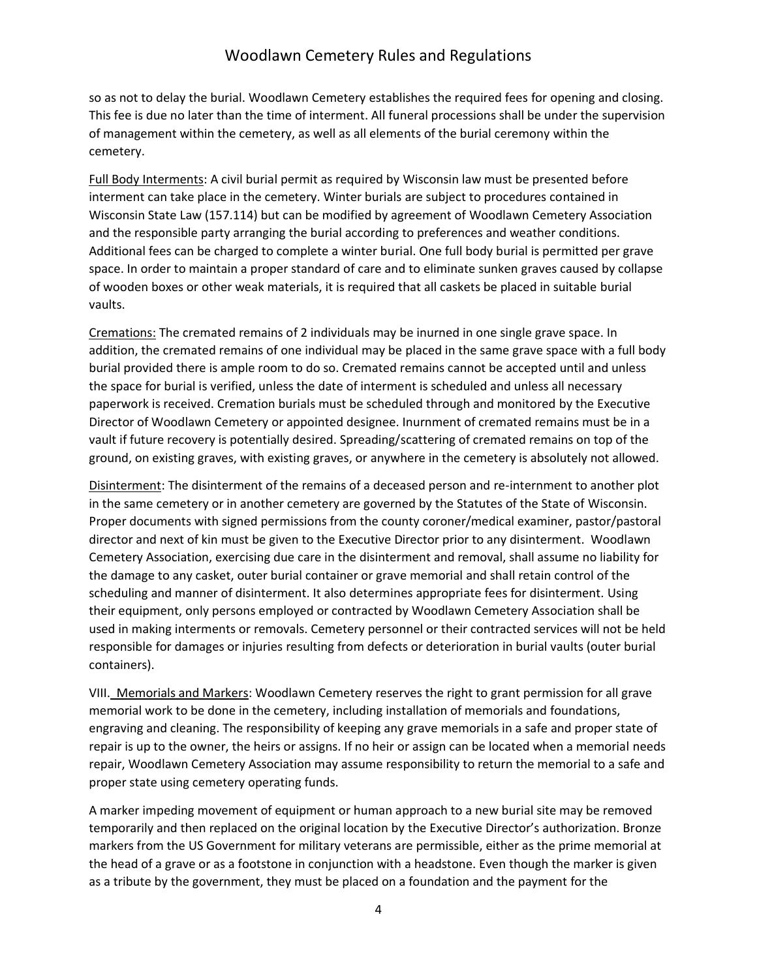so as not to delay the burial. Woodlawn Cemetery establishes the required fees for opening and closing. This fee is due no later than the time of interment. All funeral processions shall be under the supervision of management within the cemetery, as well as all elements of the burial ceremony within the cemetery.

Full Body Interments: A civil burial permit as required by Wisconsin law must be presented before interment can take place in the cemetery. Winter burials are subject to procedures contained in Wisconsin State Law (157.114) but can be modified by agreement of Woodlawn Cemetery Association and the responsible party arranging the burial according to preferences and weather conditions. Additional fees can be charged to complete a winter burial. One full body burial is permitted per grave space. In order to maintain a proper standard of care and to eliminate sunken graves caused by collapse of wooden boxes or other weak materials, it is required that all caskets be placed in suitable burial vaults.

Cremations: The cremated remains of 2 individuals may be inurned in one single grave space. In addition, the cremated remains of one individual may be placed in the same grave space with a full body burial provided there is ample room to do so. Cremated remains cannot be accepted until and unless the space for burial is verified, unless the date of interment is scheduled and unless all necessary paperwork is received. Cremation burials must be scheduled through and monitored by the Executive Director of Woodlawn Cemetery or appointed designee. Inurnment of cremated remains must be in a vault if future recovery is potentially desired. Spreading/scattering of cremated remains on top of the ground, on existing graves, with existing graves, or anywhere in the cemetery is absolutely not allowed.

Disinterment: The disinterment of the remains of a deceased person and re-internment to another plot in the same cemetery or in another cemetery are governed by the Statutes of the State of Wisconsin. Proper documents with signed permissions from the county coroner/medical examiner, pastor/pastoral director and next of kin must be given to the Executive Director prior to any disinterment. Woodlawn Cemetery Association, exercising due care in the disinterment and removal, shall assume no liability for the damage to any casket, outer burial container or grave memorial and shall retain control of the scheduling and manner of disinterment. It also determines appropriate fees for disinterment. Using their equipment, only persons employed or contracted by Woodlawn Cemetery Association shall be used in making interments or removals. Cemetery personnel or their contracted services will not be held responsible for damages or injuries resulting from defects or deterioration in burial vaults (outer burial containers).

VIII. Memorials and Markers: Woodlawn Cemetery reserves the right to grant permission for all grave memorial work to be done in the cemetery, including installation of memorials and foundations, engraving and cleaning. The responsibility of keeping any grave memorials in a safe and proper state of repair is up to the owner, the heirs or assigns. If no heir or assign can be located when a memorial needs repair, Woodlawn Cemetery Association may assume responsibility to return the memorial to a safe and proper state using cemetery operating funds.

A marker impeding movement of equipment or human approach to a new burial site may be removed temporarily and then replaced on the original location by the Executive Director's authorization. Bronze markers from the US Government for military veterans are permissible, either as the prime memorial at the head of a grave or as a footstone in conjunction with a headstone. Even though the marker is given as a tribute by the government, they must be placed on a foundation and the payment for the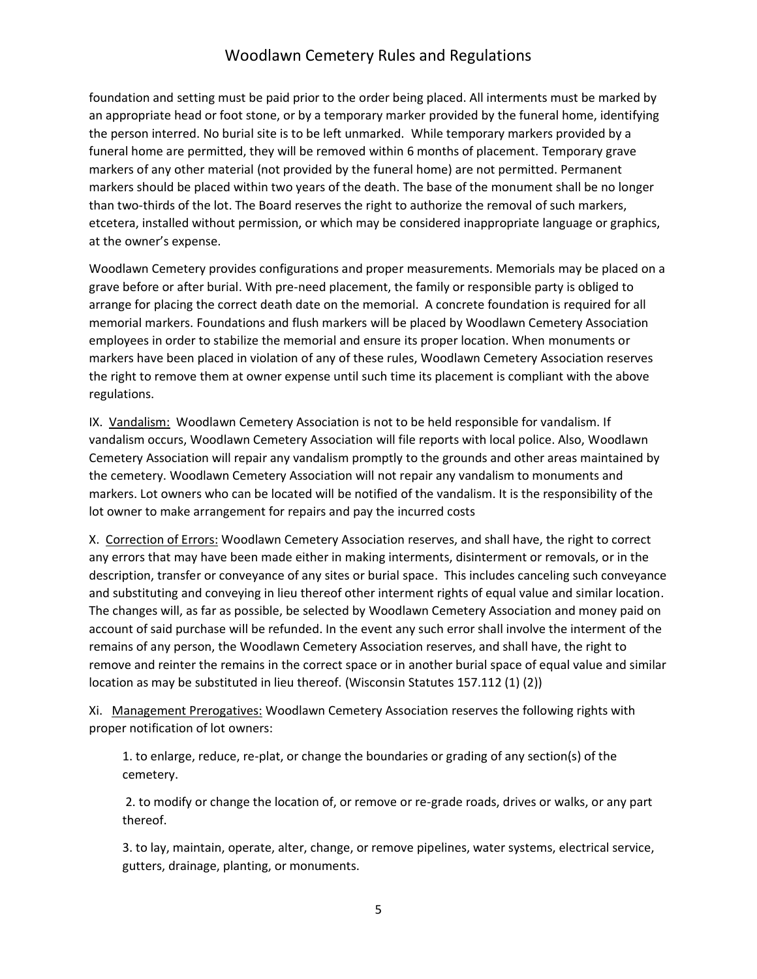foundation and setting must be paid prior to the order being placed. All interments must be marked by an appropriate head or foot stone, or by a temporary marker provided by the funeral home, identifying the person interred. No burial site is to be left unmarked. While temporary markers provided by a funeral home are permitted, they will be removed within 6 months of placement. Temporary grave markers of any other material (not provided by the funeral home) are not permitted. Permanent markers should be placed within two years of the death. The base of the monument shall be no longer than two-thirds of the lot. The Board reserves the right to authorize the removal of such markers, etcetera, installed without permission, or which may be considered inappropriate language or graphics, at the owner's expense.

Woodlawn Cemetery provides configurations and proper measurements. Memorials may be placed on a grave before or after burial. With pre-need placement, the family or responsible party is obliged to arrange for placing the correct death date on the memorial. A concrete foundation is required for all memorial markers. Foundations and flush markers will be placed by Woodlawn Cemetery Association employees in order to stabilize the memorial and ensure its proper location. When monuments or markers have been placed in violation of any of these rules, Woodlawn Cemetery Association reserves the right to remove them at owner expense until such time its placement is compliant with the above regulations.

IX. Vandalism: Woodlawn Cemetery Association is not to be held responsible for vandalism. If vandalism occurs, Woodlawn Cemetery Association will file reports with local police. Also, Woodlawn Cemetery Association will repair any vandalism promptly to the grounds and other areas maintained by the cemetery. Woodlawn Cemetery Association will not repair any vandalism to monuments and markers. Lot owners who can be located will be notified of the vandalism. It is the responsibility of the lot owner to make arrangement for repairs and pay the incurred costs

X. Correction of Errors: Woodlawn Cemetery Association reserves, and shall have, the right to correct any errors that may have been made either in making interments, disinterment or removals, or in the description, transfer or conveyance of any sites or burial space. This includes canceling such conveyance and substituting and conveying in lieu thereof other interment rights of equal value and similar location. The changes will, as far as possible, be selected by Woodlawn Cemetery Association and money paid on account of said purchase will be refunded. In the event any such error shall involve the interment of the remains of any person, the Woodlawn Cemetery Association reserves, and shall have, the right to remove and reinter the remains in the correct space or in another burial space of equal value and similar location as may be substituted in lieu thereof. (Wisconsin Statutes 157.112 (1) (2))

Xi. Management Prerogatives: Woodlawn Cemetery Association reserves the following rights with proper notification of lot owners:

1. to enlarge, reduce, re-plat, or change the boundaries or grading of any section(s) of the cemetery.

2. to modify or change the location of, or remove or re-grade roads, drives or walks, or any part thereof.

3. to lay, maintain, operate, alter, change, or remove pipelines, water systems, electrical service, gutters, drainage, planting, or monuments.